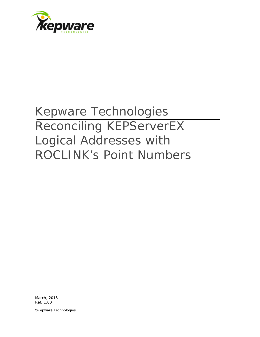

# Kepware Technologies Reconciling KEPServerEX Logical Addresses with ROCLINK's Point Numbers

March, 2013 Ref. 1.00

©Kepware Technologies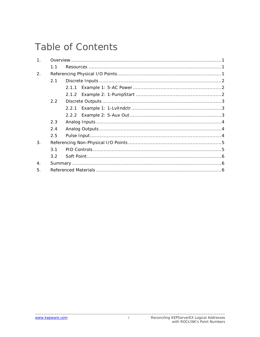## **Table of Contents**

| 1 <sub>1</sub>   |                  |  |  |  |  |  |  |
|------------------|------------------|--|--|--|--|--|--|
|                  | 11               |  |  |  |  |  |  |
| 2.               |                  |  |  |  |  |  |  |
|                  | 2.1              |  |  |  |  |  |  |
|                  |                  |  |  |  |  |  |  |
|                  |                  |  |  |  |  |  |  |
|                  | 2.2              |  |  |  |  |  |  |
|                  |                  |  |  |  |  |  |  |
|                  |                  |  |  |  |  |  |  |
|                  | 2.3              |  |  |  |  |  |  |
|                  | 2.4              |  |  |  |  |  |  |
|                  | 2.5              |  |  |  |  |  |  |
| 3.               |                  |  |  |  |  |  |  |
|                  | 3.1              |  |  |  |  |  |  |
|                  | 3.2 <sub>2</sub> |  |  |  |  |  |  |
| $\overline{4}$ . |                  |  |  |  |  |  |  |
| 5.               |                  |  |  |  |  |  |  |

 $\mathbf i$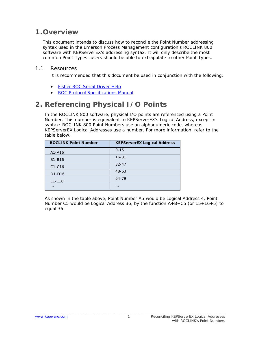## <span id="page-2-0"></span>**1.Overview**

This document intends to discuss how to reconcile the Point Number addressing syntax used in the Emerson Process Management configuration's ROCLINK 800 software with KEPServerEX's addressing syntax. It will only describe the most common Point Types: users should be able to extrapolate to other Point Types.

#### <span id="page-2-1"></span>1.1 Resources

It is recommended that this document be used in conjunction with the following:

- **[Fisher ROC Serial Driver](http://www.kepware.com/Support_Center/SupportDocuments/Help/fisher_roc_serial.pdf) Help**
- ROC [Protocol Specifications Manual](http://www.documentation.emersonprocess.com/groups/public/documents/instruction_manuals/d301053x012.pdf)

## <span id="page-2-2"></span>**2. Referencing Physical I/O Points**

In the ROCLINK 800 software, physical I/O points are referenced using a Point Number. This number is equivalent to KEPServerEX's Logical Address, except in syntax: ROCLINK 800 Point Numbers use an alphanumeric code, whereas KEPServerEX Logical Addresses use a number. For more information, refer to the table below.

| <b>ROCLINK Point Number</b>     | <b>KEPServerEX Logical Address</b> |
|---------------------------------|------------------------------------|
| A1-A16                          | $0 - 15$                           |
| B1-B16                          | $16 - 31$                          |
| $C1-C16$                        | $32 - 47$                          |
| D <sub>1</sub> -D <sub>16</sub> | $48 - 63$                          |
| $E1-E16$                        | 64-79                              |
|                                 |                                    |

As shown in the table above, Point Number A5 would be Logical Address 4. Point Number C5 would be Logical Address 36, by the function A+B+C5 (or 15+16+5) to equal 36.

\_\_\_\_\_\_\_\_\_\_\_\_\_\_\_\_\_\_\_\_\_\_\_\_\_\_\_\_\_\_\_\_\_\_\_\_\_\_\_\_\_\_\_\_\_\_\_\_\_\_\_\_\_\_\_\_\_\_\_\_\_\_\_\_\_\_\_\_\_\_\_\_\_\_\_\_\_\_\_\_\_\_\_\_\_\_\_\_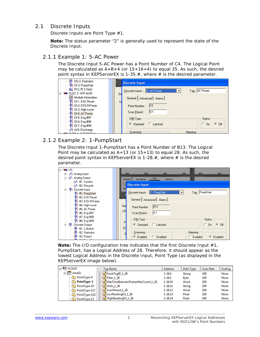#### <span id="page-3-0"></span>2.1 Discrete Inputs

Discrete Inputs are Point Type #1.

**Note:** The status parameter "2" is generally used to represent the state of the Discrete Input.

#### <span id="page-3-1"></span>2.1.1 Example 1: 5-AC Power

The Discrete Input 5-AC Power has a Point Number of C4. The Logical Point may be calculated as  $A+B+4$  (or  $15+16+4$ ) to equal 35. As such, the desired point syntax in KEPServerEX is 1-35.*#*, where *#* is the desired parameter.

| PI-DO-2, FireIndctr<br><sup>IN</sup> DI-3, PumpStart       | <b>Discrete Input</b>                                                        |         |
|------------------------------------------------------------|------------------------------------------------------------------------------|---------|
| 100 PI-2, PI 2 Slot2<br><b>WE SLOT 3 - 8-Pt AI/DI</b><br>e | Discrete Inputs: 5 - AC Power<br>Tag: AC Power<br>$\blacktriangledown$<br>Ge |         |
| <b>III</b> Module Information<br><b>IN</b> DI-1, ESD Reset | General Advanced Alarms                                                      |         |
| <sup>IN</sup> DI-2, ESD/HiTemp                             | In<br> CA<br>Point Number:                                                   |         |
| IN DI-3, High Level<br><sup>IN</sup> DI-4, AC Power        | 10.1<br>Scan Period:                                                         |         |
| 14 DI-5, Eng #97<br><sup>11</sup> H DI-6, Eng #98          | DIN Type<br><b>Status</b>                                                    |         |
| IN DI-7, Eng #99<br>V4 Al-8, Discharge                     | $C_0$<br>$G$ Standard<br>C Latched                                           | $G$ Off |
| <b>ALCIOTI COLOGIAL</b>                                    | Scanning<br>Alarming                                                         |         |

#### <span id="page-3-2"></span>2.1.2 Example 2: 1-PumpStart

The Discrete Input 1-PumpStart has a Point Number of B13. The Logical Point may be calculated as  $A+13$  (or  $15+13$ ) to equal 28. As such, the desired point syntax in KEPServerEX is 1-28.*#*, where *#* is the desired parameter.

| ₩ 1/0<br>Ė                                            |           |                                                         |
|-------------------------------------------------------|-----------|---------------------------------------------------------|
| 由 ·· V Analog Input                                   |           |                                                         |
| minh Analog Output                                    |           | <b>DVS</b>                                              |
| $\mathsf{L}\mathsf{L}\mathsf{A}$ #1, Suction          |           | <b>MEMORY</b><br><b>AUX PWR IN</b><br><b>DISPLAY</b>    |
| <b>MA</b> #2, Recycle                                 |           | <b>Discrete Input</b>                                   |
| 白… III Discrete Input                                 |           |                                                         |
| <b>■ HI, PumpStart</b>                                |           | Tag: PumpStart<br>Discrete Inputs :   1 - PumpStart     |
| — 1N #2, ESD Reset                                    |           |                                                         |
| - TH #3, ESD/HiTemp                                   |           | General   Advanced   Alarms                             |
| ├── 1 <mark>14</mark> #4, High Level                  |           |                                                         |
| $\mathbb{H}$ #5, AC Power                             | Ge        | B13<br>Point Number:                                    |
| ├─ 1 <mark>1</mark> 4 #6, Eng #97                     | <b>CP</b> | 0.1<br>Scan Period:                                     |
| $\frac{1}{2}$ $\frac{1}{2}$ $\frac{1}{2}$ #7, Eng #98 |           |                                                         |
|                                                       |           | DI <u>N</u> Type<br><b>Status</b>                       |
| ं - गी <mark>4</mark> #8, Eng #99                     | A,        |                                                         |
| 白… III <sup>I</sup> Discrete Output                   | Gd        | $C_0$ On<br><b>C</b> Latched<br>$G$ Off<br>G Standard   |
| <del>  1∥</del> • #1, LvlIndetr                       |           |                                                         |
| · HII+ #2, FireIndetr                                 |           | Scanning<br>Alarming                                    |
| <del>  1∥</del> • #3, Pump1                           |           | C Enabled<br>$C$ Enabled<br>Disabled<br>C Disabled<br>o |

**Note:** The I/O configuration tree indicates that the first Discrete Input #1, PumpStart, has a Logical Address of 28. Therefore, it should appear as the lowest Logical Address in the Discrete Input, Point Type (as displayed in the KEPServerEX image below).

| ⊟ <sup>(2</sup> ) FLO107 | <b>Tag Name</b>                   | <b>Address</b> | Data Type   | <b>Scan Rate</b> | Scaling |
|--------------------------|-----------------------------------|----------------|-------------|------------------|---------|
| d-1 Area51               | PointTagID_1_28                   | $1 - 28.0$     | String      | 100              | None    |
| PointType-0              | Filter 1 28                       | $1 - 28.1$     | <b>Byte</b> | 100              | None    |
| PointType-1              | MaxTimeBetweenPulsesMaxCount_1_28 | 1-28.10        | Word        | 100              | None    |
| PointType-10             | <b>M</b> Units 1_28               | 1-28.11        | String      | 100              | None    |
| PointType-117            | ScanPeriod 1_28                   | 1-28.12        | Word        | 100              | None    |
| PointType-118            | LowReadingEU_1_28                 | 1-28.13        | Float       | 100              | None    |
| PointType-12             | HighReadingEU_1_28                | 1-28.14        | Float       | 100              | None    |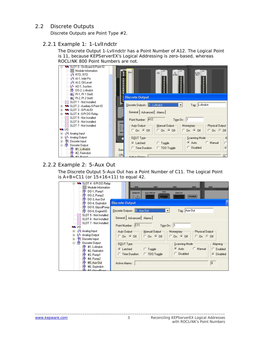#### <span id="page-4-0"></span>2.2 Discrete Outputs

Discrete Outputs are Point Type #2.

#### <span id="page-4-1"></span>2.2.1 Example 1: 1-LvlIndctr

The Discrete Output 1-LvlIndctr has a Point Number of A12. The Logical Point is 11, because KEPServerEX's Logical Addressing is zero-based, whereas ROCLINK 800 Point Numbers are not.



#### <span id="page-4-2"></span>2.2.2 Example 2: 5-Aux Out

The Discrete Output 5-Aux Out has a Point Number of C11. The Logical Point is A+B+C11 (or 15+16+11) to equal 42.

| <b>WE SLOT 4 - 6-Pt DO Relay</b><br><b>III</b> Module Information<br>PI-DO-1, Pump1<br>HI- DO-2, Pump2<br>HI-DO-3, Aux Out                                                                                                                                           | <b>DVS</b><br><b>MEMORY</b><br><b>AUX PWH IN</b><br>DISPLAY<br><b>FISHER</b>                                                                                                                                                                                                                                                                                        |
|----------------------------------------------------------------------------------------------------------------------------------------------------------------------------------------------------------------------------------------------------------------------|---------------------------------------------------------------------------------------------------------------------------------------------------------------------------------------------------------------------------------------------------------------------------------------------------------------------------------------------------------------------|
| HI-DO-4, OxyIndctr<br>HI- DO-5, GlycolPump<br><b>PII</b> DO-6, EngineSD<br>SLOT 5 - Not Installed<br>SLOT 6 - Not Installed<br>SLOT 7 - Not Installed<br>⋈<br><b>MM</b> 1/0                                                                                          | <b>Discrete Output</b><br>Tag: Aux Out<br>Discrete Dutputs : 5 - Aux Dut<br>$\blacktriangledown$<br>General Advanced Alarms<br>Point Number: C11<br>Time On:  1                                                                                                                                                                                                     |
| 由一小 Analog Input<br>M- Analog Output<br><sup>4</sup> Discrete Input<br>田<br>白…III Discrete Dutput<br>HI- #1, LvlIndctr<br>HI- #2, FireIndctr<br>H <sup>R</sup> #3, Pump1<br>H۱ŀ<br>#4, Pump2<br>H۴<br>#5, Aux Out<br>H <sup>I</sup> #6, OxyIndctr<br>$#7$ ChannelDay | Auto Output<br>$-M$ anual Output $-$<br>- Momentary-<br>Physical Output<br>$C$ On $G$ Off<br>$C$ On $G$ Off<br>$C$ On $G$ Off<br>$C$ On $C$ Off<br>Scanning Mode<br><b>Alarming</b><br>DOUT Type<br>Manual<br>$6$ Auto<br>C Toggle<br>C Enabled<br>C Latched<br>Disabled<br>C<br><b>C</b> Disabled<br><b>C</b> Time Duration<br>C TDO Toggle<br>0<br>Active Alarms: |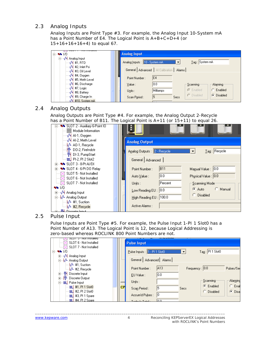#### <span id="page-5-0"></span>2.3 Analog Inputs

Analog Inputs are Point Type #3. For example, the Analog Input 10-System mA has a Point Number of E4. The Logical Point is A+B+C+D+4 (or  $15+16+16+16+4$  to equal 67.

| -№ 1/0<br>Ē⊡                                                         | <b>Analog Input</b>                          |           |      |                 |            |
|----------------------------------------------------------------------|----------------------------------------------|-----------|------|-----------------|------------|
| 白…√4 Analog Input<br>$-M$ #1, RTD                                    | Analog Inputs: 10 - System mA                |           | ▼    | Tag: System mA  |            |
| — √भी #2, Inlet Psi<br>┈∿N ♯3, Oil Levell                            | General   Advanced   Al Calibration   Alarms |           |      |                 |            |
| — √ <sup>04</sup> #4, Oxygen                                         | Point Number:                                | IE4       |      |                 |            |
| —√ 4#5, Meth Level<br>—√ <mark>५</mark> ∣ #6, Discharge              | Value:                                       | 10.0      |      | :Scanning:      | Alarming   |
| <b>…√4 #7, Logic</b><br>┈ √ 4 #8, Battery                            | Units:                                       | Milliamps |      | G Enabled       | Enabled    |
| ⊹√N #9, Charge In I<br><sub>Ն</sub> /Վ <mark>_ #10, Svstem mA</mark> | Scan Period:                                 | 15        | Secs | $\cap$ Disabled | C Disabled |

#### <span id="page-5-1"></span>2.4 Analog Outputs

Analog Outputs are Point Type #4. For example, the Analog Output 2-Recycle has a Point Number of B11. The Logical Point is A+11 (or 15+11) to equal 26.

| SLOT 2 - Auxiliary 6-Point IO<br>┈·    Module Information<br>—√ <mark>N</mark> Al-1, Oxygeni |                                |         |                        |
|----------------------------------------------------------------------------------------------|--------------------------------|---------|------------------------|
| — √ <mark>५</mark> Al-2, Meth Level<br>---- <mark>k</mark> /∿- A0-1, Recycle.                | <b>Analog Output</b>           |         |                        |
| ┈−凹┗ DO-2, FireIndetr<br><del> 매</del> DI-3, PumpStart                                       | Analog Outputs: 2 - Recycle    |         | $Iag:$ Recycle         |
| <b>i mul PI-2, PI 2 Slot2</b><br><b>WE SLOT 3 - 8-PLAI/DI</b>                                | General Advanced               |         |                        |
| W SLOT 4 - 6-Pt DO Relay<br>Ĥ.                                                               | Point Number:                  | B11     | Manual Value : 0.0     |
| $\boxtimes$ SLOT 5 - Not Installed<br>SLOT 6 - Not Installed                                 | Auto Value :                   | 0.0     | Physical Value : 0.0   |
| $\boxtimes$ SLOT 7 - Not Installed                                                           | Units :                        | Percent | Scanning Mode          |
| ₩ 1/0<br>由…√4 Analog Input                                                                   | Low Reading EU : $\boxed{0.0}$ |         | $C$ Manual<br>G Auto ∴ |
| ⊟…k <sup>A</sup> + Analog Output                                                             | High Reading EU : 100.0        |         | C Disabled             |
| <del>∴ M</del> + #1, Suction<br>M #2, Recycle<br><b>JIM</b> Discrete Input                   | Active Alarms :                |         |                        |

#### <span id="page-5-2"></span>2.5 Pulse Input

Pulse Inputs are Point Type #5. For example, the Pulse Input 1-PI 1 Slot0 has a Point Number of A13. The Logical Point is 12, because Logical Addressing is zero-based whereas ROCLINK 800 Point Numbers are not.

| SLUT 5 - NO Unstalled                 |           |                               |       |                |                    |            |
|---------------------------------------|-----------|-------------------------------|-------|----------------|--------------------|------------|
| SLOT 6 - Not Installed                |           | <b>Pulse Input</b>            |       |                |                    |            |
| $\boxtimes$ SLOT 7 - Not Installed    |           |                               |       |                |                    |            |
| 55 1/0<br>F-                          |           | Pulse Inputs : 1 - PI 1 Slot0 |       | ▼              | $Tag:$ PI 1 Slot0  |            |
| 亩…√4 Analog Input                     |           |                               |       |                |                    |            |
| 白…M+ Analog Output                    |           | General   Advanced   Alarms   |       |                |                    |            |
| $\mathbb{R}^4$ #1, Suction            |           |                               |       |                |                    |            |
| ं <sub>M</sub> ^ #2, Recycle          |           | Point Number:                 | IA13  | Frequency: 0.0 |                    | Pulses/Sed |
| 亩… ¶H Discrete Input                  |           | EU Value:                     | 10.0  |                |                    |            |
| 由… III+ Discrete Output               |           |                               |       |                |                    |            |
| - <mark>τιτι.</mark>   Pulse Input_   |           | Units :                       |       |                | : <u>S</u> canning | Alarmind   |
| $\cdot$ m $\downarrow$ #1, PI 1 Slot0 | <b>CP</b> | Scan Period:                  | 5     | Secs           | $\bullet$ Enabled  | Enat       |
| -1111.1 #2, PI 2 Slot0                |           |                               |       |                | <b>Disabled</b>    | C Disa     |
| -1111. #3, PI 1 Spare                 |           | Accum'd Pulses :              | l0    |                |                    |            |
| -1111   #4. PI 2 Spare                |           | $T = -1$ and $T = -1$ .       | lo ol |                |                    |            |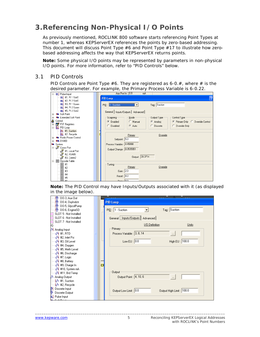## <span id="page-6-0"></span>**3.Referencing Non-Physical I/O Points**

As previously mentioned, ROCLINK 800 software starts referencing Point Types at number 1, whereas KEPServerEX references the points by zero-based addressing. This document will discuss Point Type #6 and Point Type #17 to illustrate how zerobased addressing affects the way that KEPServerEX returns points.

**Note:** Some physical I/O points may be represented by parameters in non-physical I/O points. For more information, refer to "PID Controls" below.

#### <span id="page-6-1"></span>3.1 PID Controls

PID Controls are Point Type #6. They are registered as 6-0.*#*, where *#* is the desired parameter. For example, the Primary Process Variable is 6-0.22.

| $m$ , #1, PI 1 Slot0<br><b>PID Loop</b><br>$m$ <sup>1</sup> #2, PI 2 Slot0<br><b>IIIL</b> #3, PI1 Spare<br>PID: 1 - Suction<br>Tag: Suction<br>$\blacktriangledown$<br>-100L #4, PI2 Spare<br>$\mathbb{R}$ #5, PI 2 Slot2<br>General   Inputs/Outputs   Advanced  <br><b>Wa</b> Soft Point<br>$+$<br><b>W</b> Extended Soft Point | 12 |
|-----------------------------------------------------------------------------------------------------------------------------------------------------------------------------------------------------------------------------------------------------------------------------------------------------------------------------------|----|
|                                                                                                                                                                                                                                                                                                                                   |    |
|                                                                                                                                                                                                                                                                                                                                   |    |
|                                                                                                                                                                                                                                                                                                                                   |    |
|                                                                                                                                                                                                                                                                                                                                   |    |
|                                                                                                                                                                                                                                                                                                                                   |    |
|                                                                                                                                                                                                                                                                                                                                   |    |
| Scanning-<br>Mode<br>Control Type<br>Output Type<br>$\overline{+}$                                                                                                                                                                                                                                                                |    |
| ٨<br>Control<br>C Primary Only C Override Control<br>C Enabled<br>C Manual<br>C Analog                                                                                                                                                                                                                                            |    |
| FST Registers<br>Ė<br>C.                                                                                                                                                                                                                                                                                                          |    |
| C Auto<br>C Disabled<br>Discrete<br>C Override Only<br>Ht PID Loop<br>Ėŀ                                                                                                                                                                                                                                                          |    |
| 也 #1, Suction                                                                                                                                                                                                                                                                                                                     |    |
| 也 #2, Recycle<br>Primary<br>Override                                                                                                                                                                                                                                                                                              |    |
| <b>W</b> Radio Power Control<br>Setpoint: 5.0                                                                                                                                                                                                                                                                                     |    |
| <b>W</b> DS800<br>Ėŀ                                                                                                                                                                                                                                                                                                              |    |
| Process Variable : 4.45098<br><b>Wa</b> System                                                                                                                                                                                                                                                                                    |    |
| <del>ப்</del> ⊸து Comm Port<br>Output Change: 0.0535951                                                                                                                                                                                                                                                                           |    |
| ේ #1, Local Port                                                                                                                                                                                                                                                                                                                  |    |
| $3^{\circ}$ #2, RS485                                                                                                                                                                                                                                                                                                             |    |
| Output: 39.3714<br>8 #3, Comm2                                                                                                                                                                                                                                                                                                    |    |
| <b>E</b> -III Opcode Table                                                                                                                                                                                                                                                                                                        |    |
| 911<br>Tuning                                                                                                                                                                                                                                                                                                                     |    |
| Primary<br>Override<br>画 #2<br>Ⅲ #3                                                                                                                                                                                                                                                                                               |    |
| Gain: 2.0                                                                                                                                                                                                                                                                                                                         |    |
| 画<br>#4<br>$\textsf{Reset}:$ 4.0                                                                                                                                                                                                                                                                                                  |    |
| 靊#5<br>المماسيم                                                                                                                                                                                                                                                                                                                   |    |

**Note:** The PID Control may have Inputs/Outputs associated with it (as displayed in the image below).

| <b>PID Loop</b>                                   |
|---------------------------------------------------|
|                                                   |
| PID: 1 - Suction<br>Tag: Suction                  |
|                                                   |
| General Inputs/Outputs Advanced                   |
|                                                   |
| 1/0 Definition<br>Units                           |
| Primary                                           |
| Process Variable : 3, 8, 14<br>$\cdots$           |
|                                                   |
| Low EU : $\boxed{0.0}$<br>High EU : 100.0         |
|                                                   |
|                                                   |
|                                                   |
|                                                   |
|                                                   |
| СF                                                |
|                                                   |
| <b>Output</b>                                     |
| Output Point : 4, 10, 6<br>$\ldots$               |
|                                                   |
|                                                   |
| Output Low Limit: 0.0<br>Output High Limit: 100.0 |
|                                                   |
|                                                   |
|                                                   |